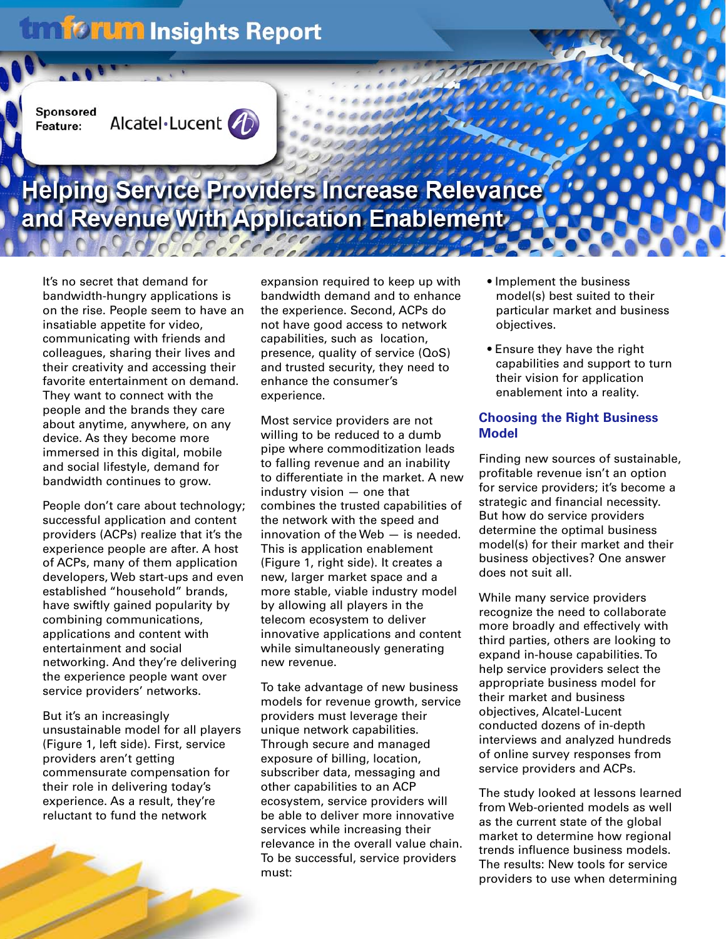# **Umforum Insights Report**

Sponsored Feature:



# Helping Service Providers Increase Relevance and Revenue With Application Enablement

It's no secret that demand for bandwidth-hungry applications is on the rise. People seem to have an insatiable appetite for video, communicating with friends and colleagues, sharing their lives and their creativity and accessing their favorite entertainment on demand. They want to connect with the people and the brands they care about anytime, anywhere, on any device. As they become more immersed in this digital, mobile and social lifestyle, demand for bandwidth continues to grow.

People don't care about technology; successful application and content providers (ACPs) realize that it's the experience people are after. A host of ACPs, many of them application developers, Web start-ups and even established "household" brands, have swiftly gained popularity by combining communications, applications and content with entertainment and social networking. And they're delivering the experience people want over service providers' networks.

But it's an increasingly unsustainable model for all players (Figure 1, left side). First, service providers aren't getting commensurate compensation for their role in delivering today's experience. As a result, they're reluctant to fund the network

expansion required to keep up with bandwidth demand and to enhance the experience. Second, ACPs do not have good access to network capabilities, such as location, presence, quality of service (QoS) and trusted security, they need to enhance the consumer's experience.

Most service providers are not willing to be reduced to a dumb pipe where commoditization leads to falling revenue and an inability to differentiate in the market. A new industry vision — one that combines the trusted capabilities of the network with the speed and innovation of the Web — is needed. This is application enablement (Figure 1, right side). It creates a new, larger market space and a more stable, viable industry model by allowing all players in the telecom ecosystem to deliver innovative applications and content while simultaneously generating new revenue.

To take advantage of new business models for revenue growth, service providers must leverage their unique network capabilities. Through secure and managed exposure of billing, location, subscriber data, messaging and other capabilities to an ACP ecosystem, service providers will be able to deliver more innovative services while increasing their relevance in the overall value chain. To be successful, service providers must:

- Implement the business model(s) best suited to their particular market and business objectives.
- Ensure they have the right capabilities and support to turn their vision for application enablement into a reality.

### **Choosing the Right Business Model**

Finding new sources of sustainable, profitable revenue isn't an option for service providers; it's become a strategic and financial necessity. But how do service providers determine the optimal business model(s) for their market and their business objectives? One answer does not suit all.

While many service providers recognize the need to collaborate more broadly and effectively with third parties, others are looking to expand in-house capabilities. To help service providers select the appropriate business model for their market and business objectives, Alcatel-Lucent conducted dozens of in-depth interviews and analyzed hundreds of online survey responses from service providers and ACPs.

The study looked at lessons learned from Web-oriented models as well as the current state of the global market to determine how regional trends influence business models. The results: New tools for service providers to use when determining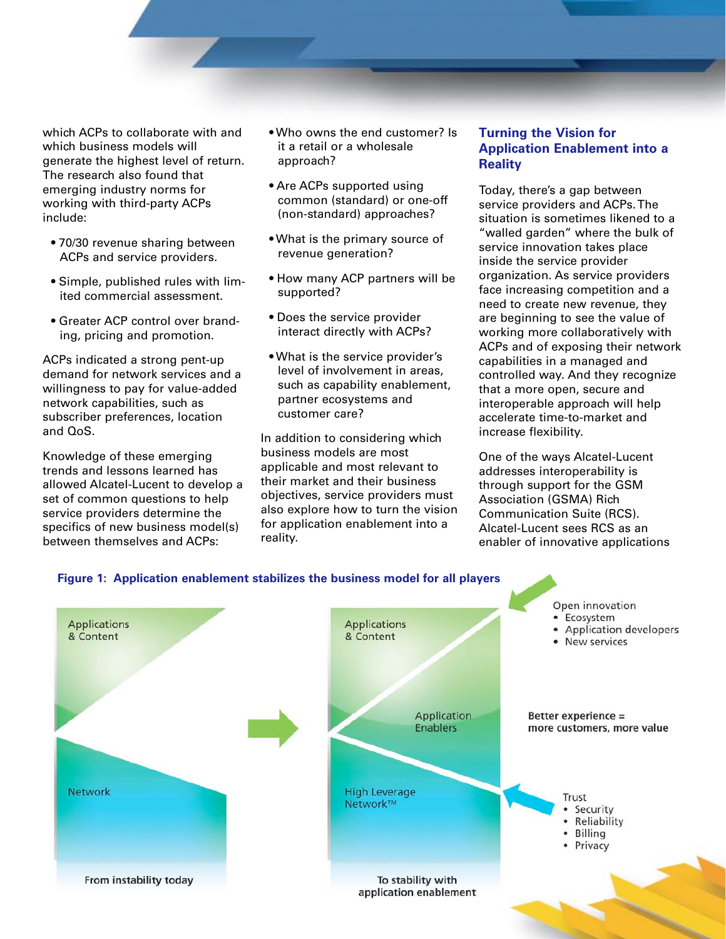which ACPs to collaborate with and which business models will generate the highest level of return. The research also found that emerging industry norms for working with third-party ACPs include:

- 70/30 revenue sharing between ACPs and service providers.
- Simple, published rules with limited commercial assessment.
- Greater ACP control over branding, pricing and promotion.

ACPs indicated a strong pent-up demand for network services and a willingness to pay for value-added network capabilities, such as subscriber preferences, location and QoS.

Knowledge of these emerging trends and lessons learned has allowed Alcatel-Lucent to develop a set of common questions to help service providers determine the specifics of new business model(s) between themselves and ACPs:

- Who owns the end customer? Is it a retail or a wholesale approach?
- Are ACPs supported using common (standard) or one-off (non-standard) approaches?
- What is the primary source of revenue generation?
- How many ACP partners will be supported?
- Does the service provider interact directly with ACPs?
- What is the service provider's level of involvement in areas, such as capability enablement, partner ecosystems and customer care?

In addition to considering which business models are most applicable and most relevant to their market and their business objectives, service providers must also explore how to turn the vision for application enablement into a reality.

### **Turning the Vision for Application Enablement into a Reality**

Today, there's a gap between service providers and ACPs. The situation is sometimes likened to a "walled garden" where the bulk of service innovation takes place inside the service provider organization. As service providers face increasing competition and a need to create new revenue, they are beginning to see the value of working more collaboratively with ACPs and of exposing their network capabilities in a managed and controlled way. And they recognize that a more open, secure and interoperable approach will help accelerate time-to-market and increase flexibility.

One of the ways Alcatel-Lucent addresses interoperability is through support for the GSM Association (GSMA) Rich Communication Suite (RCS). Alcatel-Lucent sees RCS as an enabler of innovative applications

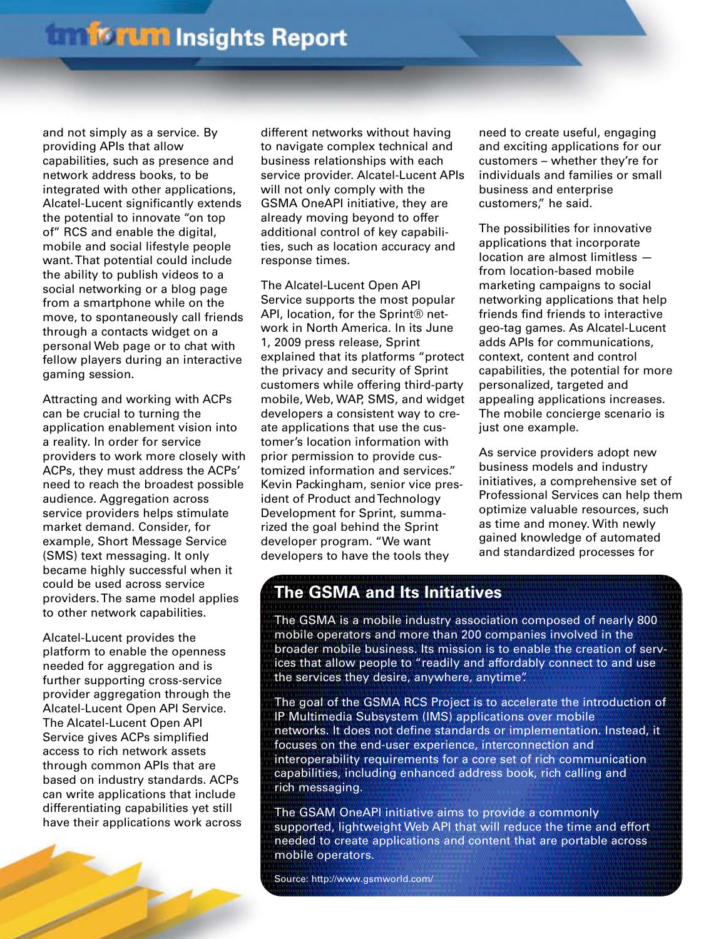and not simply as a service. By providing APIs that allow capabilities, such as presence and network address books, to be integrated with other applications, Alcatel-Lucent significantly extends the potential to innovate "on top of" RCS and enable the digital, mobile and social lifestyle people want. That potential could include the ability to publish videos to a social networking or a blog page from a smartphone while on the move, to spontaneously call friends through a contacts widget on a personal Web page or to chat with fellow players during an interactive gaming session.

Attracting and working with ACPs can be crucial to turning the application enablement vision into a reality. In order for service providers to work more closely with ACPs, they must address the ACPs' need to reach the broadest possible audience. Aggregation across service providers helps stimulate market demand. Consider, for example, Short Message Service (SMS) text messaging. It only became highly successful when it could be used across service providers. The same model applies to other network capabilities.

Alcatel-Lucent provides the platform to enable the openness needed for aggregation and is further supporting cross-service provider aggregation through the Alcatel-Lucent Open API Service. The Alcatel-Lucent Open API Service gives ACPs simplified access to rich network assets through common APIs that are based on industry standards. ACPs can write applications that include differentiating capabilities yet still have their applications work across

different networks without having to navigate complex technical and business relationships with each service provider. Alcatel-Lucent APIs will not only comply with the GSMA OneAPI initiative, they are already moving beyond to offer additional control of key capabilities, such as location accuracy and response times.

The Alcatel-Lucent Open API Service supports the most popular API, location, for the Sprint® network in North America. In its June 1, 2009 press release, Sprint explained that its platforms "protect the privacy and security of Sprint customers while offering third-party mobile, Web, WAP, SMS, and widget developers a consistent way to create applications that use the customer's location information with prior permission to provide customized information and services." Kevin Packingham, senior vice president of Product and Technology Development for Sprint, summarized the goal behind the Sprint developer program. "We want developers to have the tools they

need to create useful, engaging and exciting applications for our customers – whether they're for individuals and families or small business and enterprise customers," he said.

The possibilities for innovative applications that incorporate location are almost limitless from location-based mobile marketing campaigns to social networking applications that help friends find friends to interactive geo-tag games. As Alcatel-Lucent adds APIs for communications, context, content and control capabilities, the potential for more personalized, targeted and appealing applications increases. The mobile concierge scenario is just one example.

As service providers adopt new business models and industry initiatives, a comprehensive set of Professional Services can help them optimize valuable resources, such as time and money. With newly gained knowledge of automated and standardized processes for

## **The GSMA and Its Initiatives**

The GSMA is a mobile industry association composed of nearly 800 mobile operators and more than 200 companies involved in the broader mobile business. Its mission is to enable the creation of services that allow people to "readily and affordably connect to and use the services they desire, anywhere, anytime".

The goal of the GSMA RCS Project is to accelerate the introduction of IP Multimedia Subsystem (IMS) applications over mobile networks. It does not define standards or implementation. Instead, it focuses on the end-user experience, interconnection and interoperability requirements for a core set of rich communication capabilities, including enhanced address book, rich calling and rich messaging.

The GSAM OneAPI initiative aims to provide a commonly supported, lightweight Web API that will reduce the time and effort needed to create applications and content that are portable across mobile operators.

Source: http://www.gsmworld.com/